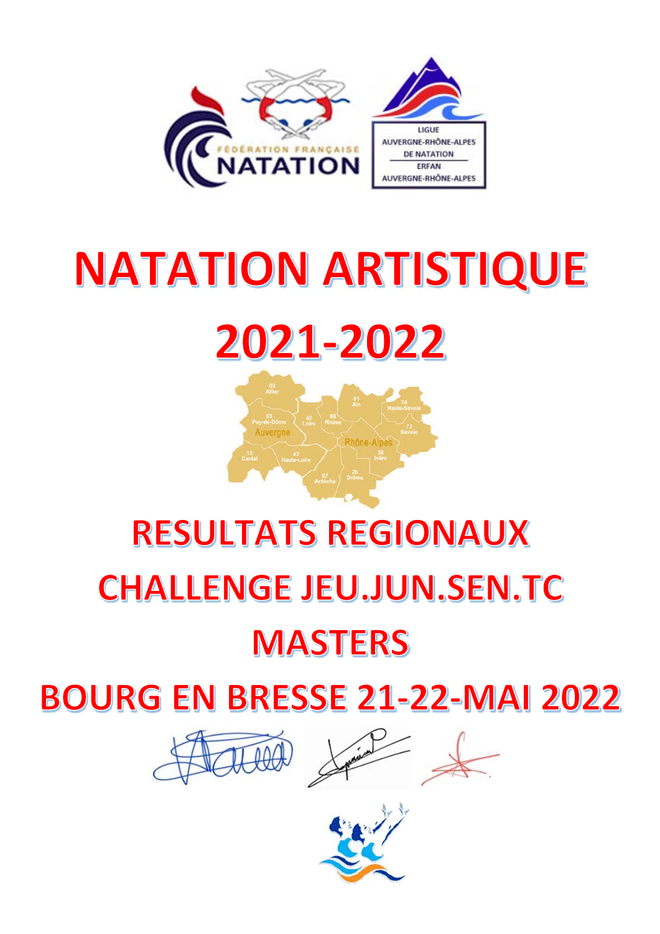

# **NATATION ARTISTIQUE** 2021-2022



# **RESULTATS REGIONAUX CHALLENGE JEU.JUN.SEN.TC**

# **MASTERS**

# **BOURG EN BRESSE 21-22-MAI 2022**



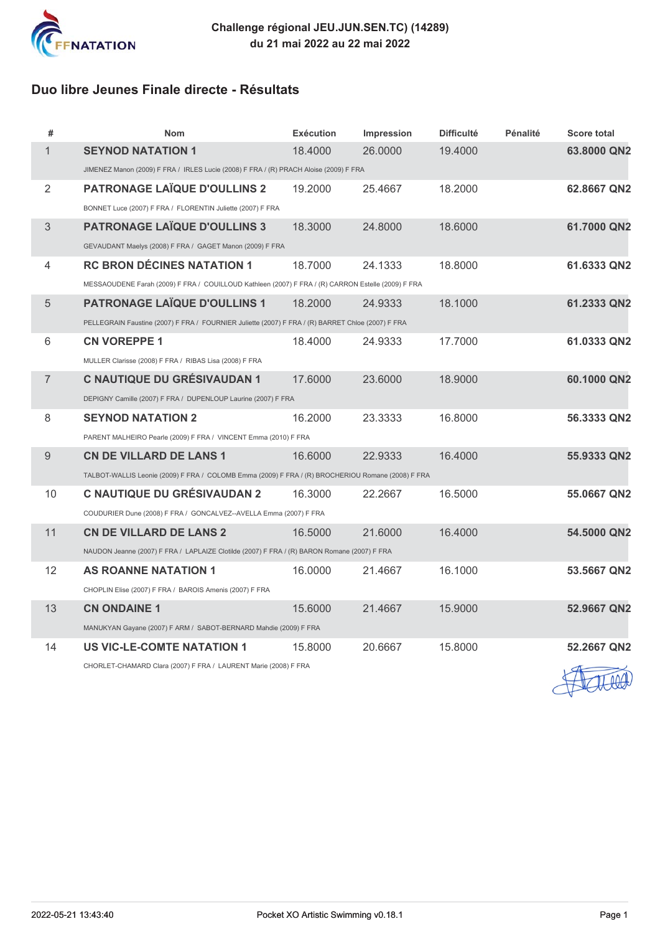

### **Duo libre Jeunes Finale directe - Résultats**

| #              | <b>Nom</b>                                                                                         | <b>Exécution</b> | <b>Impression</b> | <b>Difficulté</b> | <b>Pénalité</b> | <b>Score total</b>       |
|----------------|----------------------------------------------------------------------------------------------------|------------------|-------------------|-------------------|-----------------|--------------------------|
| 1              | <b>SEYNOD NATATION 1</b>                                                                           | 18,4000          | 26,0000           | 19.4000           |                 | 63.8000 QN2              |
|                | JIMENEZ Manon (2009) F FRA / IRLES Lucie (2008) F FRA / (R) PRACH Aloise (2009) F FRA              |                  |                   |                   |                 |                          |
| $\overline{2}$ | <b>PATRONAGE LAÏQUE D'OULLINS 2</b>                                                                | 19,2000          | 25.4667           | 18.2000           |                 | 62.8667 QN2              |
|                | BONNET Luce (2007) F FRA / FLORENTIN Juliette (2007) F FRA                                         |                  |                   |                   |                 |                          |
| 3              | <b>PATRONAGE LAÏQUE D'OULLINS 3</b>                                                                | 18.3000          | 24.8000           | 18.6000           |                 | 61.7000 QN2              |
|                | GEVAUDANT Maelys (2008) F FRA / GAGET Manon (2009) F FRA                                           |                  |                   |                   |                 |                          |
| 4              | <b>RC BRON DÉCINES NATATION 1</b>                                                                  | 18.7000          | 24.1333           | 18.8000           |                 | 61.6333 QN2              |
|                | MESSAOUDENE Farah (2009) F FRA / COUILLOUD Kathleen (2007) F FRA / (R) CARRON Estelle (2009) F FRA |                  |                   |                   |                 |                          |
| 5              | <b>PATRONAGE LAÏQUE D'OULLINS 1</b>                                                                | 18,2000          | 24.9333           | 18.1000           |                 | 61.2333 QN2              |
|                | PELLEGRAIN Faustine (2007) F FRA / FOURNIER Juliette (2007) F FRA / (R) BARRET Chloe (2007) F FRA  |                  |                   |                   |                 |                          |
| 6              | <b>CN VOREPPE 1</b>                                                                                | 18,4000          | 24.9333           | 17.7000           |                 | 61.0333 QN2              |
|                | MULLER Clarisse (2008) F FRA / RIBAS Lisa (2008) F FRA                                             |                  |                   |                   |                 |                          |
| $\overline{7}$ | C NAUTIQUE DU GRÉSIVAUDAN 1                                                                        | 17,6000          | 23.6000           | 18.9000           |                 | 60.1000 QN2              |
|                | DEPIGNY Camille (2007) F FRA / DUPENLOUP Laurine (2007) F FRA                                      |                  |                   |                   |                 |                          |
| 8              | <b>SEYNOD NATATION 2</b>                                                                           | 16,2000          | 23.3333           | 16,8000           |                 | 56.3333 QN2              |
|                | PARENT MALHEIRO Pearle (2009) F FRA / VINCENT Emma (2010) F FRA                                    |                  |                   |                   |                 |                          |
| 9              | <b>CN DE VILLARD DE LANS 1</b>                                                                     | 16,6000          | 22.9333           | 16.4000           |                 | 55.9333 QN2              |
|                | TALBOT-WALLIS Leonie (2009) F FRA / COLOMB Emma (2009) F FRA / (R) BROCHERIOU Romane (2008) F FRA  |                  |                   |                   |                 |                          |
| 10             | <b>C NAUTIQUE DU GRÉSIVAUDAN 2</b>                                                                 | 16.3000          | 22.2667           | 16,5000           |                 | 55.0667 QN2              |
|                | COUDURIER Dune (2008) F FRA / GONCALVEZ--AVELLA Emma (2007) F FRA                                  |                  |                   |                   |                 |                          |
| 11             | <b>CN DE VILLARD DE LANS 2</b>                                                                     | 16,5000          | 21.6000           | 16.4000           |                 | 54.5000 QN2              |
|                | NAUDON Jeanne (2007) F FRA / LAPLAIZE Clotilde (2007) F FRA / (R) BARON Romane (2007) F FRA        |                  |                   |                   |                 |                          |
| 12             | <b>AS ROANNE NATATION 1</b>                                                                        | 16,0000          | 21.4667           | 16.1000           |                 | 53.5667 QN2              |
|                | CHOPLIN Elise (2007) F FRA / BAROIS Amenis (2007) F FRA                                            |                  |                   |                   |                 |                          |
| 13             | <b>CN ONDAINE 1</b>                                                                                | 15,6000          | 21.4667           | 15.9000           |                 | 52.9667 QN2              |
|                | MANUKYAN Gayane (2007) F ARM / SABOT-BERNARD Mahdie (2009) F FRA                                   |                  |                   |                   |                 |                          |
| 14             | <b>US VIC-LE-COMTE NATATION 1</b>                                                                  | 15,8000          | 20.6667           | 15.8000           |                 | 52.2667 QN2              |
|                | CHORLET-CHAMARD Clara (2007) F FRA / LAURENT Marie (2008) F FRA                                    |                  |                   |                   |                 | $\overline{\phantom{a}}$ |

Action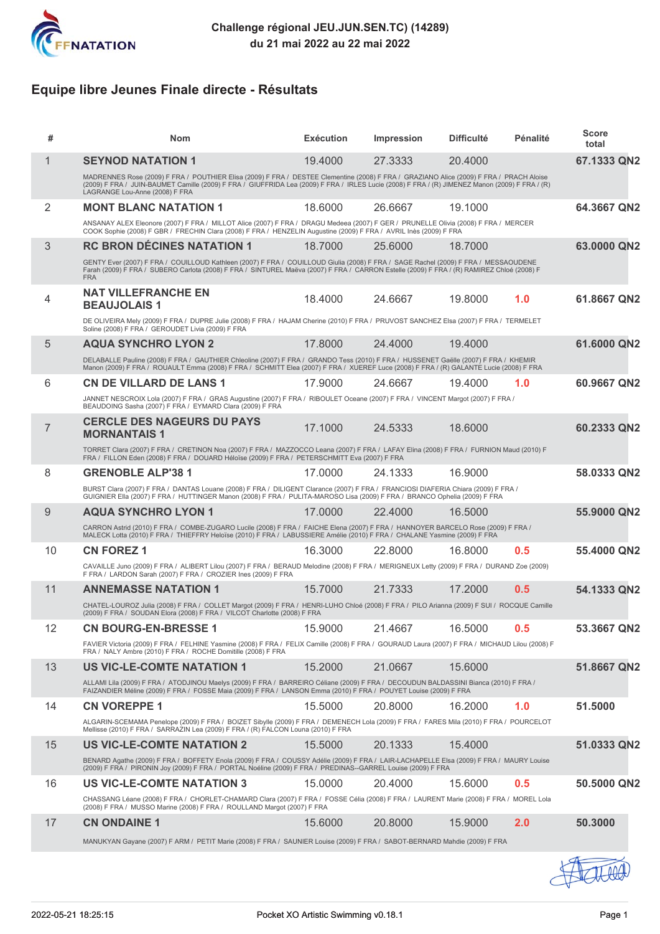

# **Equipe libre Jeunes Finale directe - Résultats**

| #              | <b>Nom</b>                                                                                                                                                                                                                                                                                                                  | <b>Exécution</b> | <b>Impression</b> | <b>Difficulté</b> | Pénalité | <b>Score</b><br>total |
|----------------|-----------------------------------------------------------------------------------------------------------------------------------------------------------------------------------------------------------------------------------------------------------------------------------------------------------------------------|------------------|-------------------|-------------------|----------|-----------------------|
| $\mathbf 1$    | <b>SEYNOD NATATION 1</b>                                                                                                                                                                                                                                                                                                    | 19,4000          | 27.3333           | 20.4000           |          | 67.1333 QN2           |
|                | MADRENNES Rose (2009) F FRA / POUTHIER Elisa (2009) F FRA / DESTEE Clementine (2008) F FRA / GRAZIANO Alice (2009) F FRA / PRACH Aloise<br>(2009) F FRA / JUIN-BAUMET Camille (2009) F FRA / GIUFFRIDA Lea (2009) F FRA / IRLES Lucie (2008) F FRA / (R) JIMENEZ Manon (2009) F FRA / (R)<br>LAGRANGE Lou-Anne (2008) F FRA |                  |                   |                   |          |                       |
| 2              | <b>MONT BLANC NATATION 1</b>                                                                                                                                                                                                                                                                                                | 18.6000          | 26.6667           | 19.1000           |          | 64.3667 QN2           |
|                | ANSANAY ALEX Eleonore (2007) F FRA / MILLOT Alice (2007) F FRA / DRAGU Medeea (2007) F GER / PRUNELLE Olivia (2008) F FRA / MERCER<br>COOK Sophie (2008) F GBR / FRECHIN Clara (2008) F FRA / HENZELIN Augustine (2009) F FRA / AVRIL Inès (2009) F FRA                                                                     |                  |                   |                   |          |                       |
| 3              | <b>RC BRON DÉCINES NATATION 1</b>                                                                                                                                                                                                                                                                                           | 18.7000          | 25,6000           | 18.7000           |          | 63.0000 QN2           |
|                | GENTY Ever (2007) F FRA / COUILLOUD Kathleen (2007) F FRA / COUILLOUD Giulia (2008) F FRA / SAGE Rachel (2009) F FRA / MESSAOUDENE<br>Farah (2009) F FRÁ / SUBERO Carlota (2008) F FRÁ / SÍNTUREL Maëva (2007) F FRA / CARRON Estelle (2009) F FRA / (R) RAMIREZ Chloé (2008) F<br><b>FRA</b>                               |                  |                   |                   |          |                       |
| 4              | <b>NAT VILLEFRANCHE EN</b><br><b>BEAUJOLAIS1</b>                                                                                                                                                                                                                                                                            | 18.4000          | 24.6667           | 19,8000           | 1.0      | 61.8667 QN2           |
|                | DE OLIVEIRA Mely (2009) F FRA / DUPRE Julie (2008) F FRA / HAJAM Cherine (2010) F FRA / PRUVOST SANCHEZ Elsa (2007) F FRA / TERMELET<br>Soline (2008) F FRA / GEROUDET Livia (2009) F FRA                                                                                                                                   |                  |                   |                   |          |                       |
| 5              | <b>AQUA SYNCHRO LYON 2</b>                                                                                                                                                                                                                                                                                                  | 17,8000          | 24,4000           | 19.4000           |          | 61.6000 QN2           |
|                | DELABALLE Pauline (2008) F FRA / GAUTHIER Chleoline (2007) F FRA / GRANDO Tess (2010) F FRA / HUSSENET Gaëlle (2007) F FRA / KHEMIR<br>Manon (2009) F FRA / ROUAULT Emma (2008) F FRA / SCHMITT Elea (2007) F FRA / XUEREF Luce (2008) F FRA / (R) GALANTE Lucie (2008) F FRA                                               |                  |                   |                   |          |                       |
| 6              | <b>CN DE VILLARD DE LANS 1</b>                                                                                                                                                                                                                                                                                              | 17.9000          | 24.6667           | 19.4000           | 1.0      | 60.9667 QN2           |
|                | JANNET NESCROIX Lola (2007) F FRA / GRAS Augustine (2007) F FRA / RIBOULET Oceane (2007) F FRA / VINCENT Margot (2007) F FRA /<br>BEAUDOING Sasha (2007) F FRA / EYMARD Clara (2009) F FRA                                                                                                                                  |                  |                   |                   |          |                       |
| $\overline{7}$ | <b>CERCLE DES NAGEURS DU PAYS</b><br><b>MORNANTAIS 1</b>                                                                                                                                                                                                                                                                    | 17.1000          | 24.5333           | 18.6000           |          | 60.2333 QN2           |
|                | TORRET Clara (2007) F FRA / CRETINON Noa (2007) F FRA / MAZZOCCO Leana (2007) F FRA / LAFAY Elina (2008) F FRA / FURNION Maud (2010) F<br>FRA / FILLON Eden (2008) F FRA / DOUARD Héloïse (2009) F FRA / PETERSCHMITT Eva (2007) F FRA                                                                                      |                  |                   |                   |          |                       |
| 8              | <b>GRENOBLE ALP'38 1</b>                                                                                                                                                                                                                                                                                                    | 17,0000          | 24.1333           | 16.9000           |          | 58.0333 QN2           |
|                | BURST Clara (2007) F FRA / DANTAS Louane (2008) F FRA / DILIGENT Clarance (2007) F FRA / FRANCIOSI DIAFERIA Chiara (2009) F FRA /<br>GUIGNIER Ella (2007) F FRA / HUTTINGER Manon (2008) F FRA / PULITA-MAROSO Lisa (2009) F FRA / BRANCO Ophelia (2009) F FRA                                                              |                  |                   |                   |          |                       |
| 9              | <b>AQUA SYNCHRO LYON 1</b>                                                                                                                                                                                                                                                                                                  | 17,0000          | 22,4000           | 16.5000           |          | 55.9000 QN2           |
|                | CARRON Astrid (2010) F FRA / COMBE-ZUGARO Lucile (2008) F FRA / FAICHE Elena (2007) F FRA / HANNOYER BARCELO Rose (2009) F FRA /<br>MALECK Lotta (2010) F FRA / THIEFFRY Heloïse (2010) F FRA / LABUSSIERE Amélie (2010) F FRA / CHALANE Yasmine (2009) F FRA                                                               |                  |                   |                   |          |                       |
| 10             | <b>CN FOREZ 1</b>                                                                                                                                                                                                                                                                                                           | 16,3000          | 22,8000           | 16,8000           | 0.5      | 55.4000 QN2           |
|                | CAVAILLE Juno (2009) F FRA / ALIBERT Lilou (2007) F FRA / BERAUD Melodine (2008) F FRA / MERIGNEUX Letty (2009) F FRA / DURAND Zoe (2009)<br>F FRA / LARDON Sarah (2007) F FRA / CROZIER Ines (2009) F FRA                                                                                                                  |                  |                   |                   |          |                       |
| 11             | <b>ANNEMASSE NATATION 1</b>                                                                                                                                                                                                                                                                                                 | 15.7000          | 21.7333           | 17.2000           | 0.5      | 54.1333 QN2           |
|                | CHATEL-LOUROZ Julia (2008) F FRA / COLLET Margot (2009) F FRA / HENRI-LUHO Chloé (2008) F FRA / PILO Arianna (2009) F SUI / ROCQUE Camille<br>(2009) F FRA / SOUDAN Elora (2008) F FRA / VILCOT Charlotte (2008) F FRA                                                                                                      |                  |                   |                   |          |                       |
| 12             | <b>CN BOURG-EN-BRESSE 1</b>                                                                                                                                                                                                                                                                                                 | 15.9000          | 21.4667           | 16.5000           | 0.5      | 53.3667 QN2           |
|                | FAVIER Victoria (2009) F FRA / FELHINE Yasmine (2008) F FRA / FELIX Camille (2008) F FRA / GOURAUD Laura (2007) F FRA / MICHAUD Lilou (2008) F<br>FRA / NALY Ambre (2010) F FRA / ROCHE Domitille (2008) F FRA                                                                                                              |                  |                   |                   |          |                       |
| 13             | <b>US VIC-LE-COMTE NATATION 1</b>                                                                                                                                                                                                                                                                                           | 15.2000          | 21.0667           | 15.6000           |          | 51.8667 QN2           |
|                | ALLAMI Lila (2009) F FRA / ATODJINOU Maelys (2009) F FRA / BARREIRO Céliane (2009) F FRA / DECOUDUN BALDASSINI Bianca (2010) F FRA /<br>FAIZANDIER Méline (2009) F FRA / FOSSE Maia (2009) F FRA / LANSON Emma (2010) F FRA / POUYET Louise (2009) F FRA                                                                    |                  |                   |                   |          |                       |
| 14             | <b>CN VOREPPE 1</b>                                                                                                                                                                                                                                                                                                         | 15,5000          | 20,8000           | 16.2000           | 1.0      | 51.5000               |
|                | ALGARIN-SCEMAMA Penelope (2009) F FRA / BOIZET Sibylle (2009) F FRA / DEMENECH Lola (2009) F FRA / FARES Mila (2010) F FRA / POURCELOT<br>Mellisse (2010) F FRA / SARRAZIN Lea (2009) F FRA / (R) FALCON Louna (2010) F FRA                                                                                                 |                  |                   |                   |          |                       |
| 15             | <b>US VIC-LE-COMTE NATATION 2</b>                                                                                                                                                                                                                                                                                           | 15.5000          | 20.1333           | 15.4000           |          | 51.0333 QN2           |
|                | BENARD Agathe (2009) F FRA / BOFFETY Enola (2009) F FRA / COUSSY Adélie (2009) F FRA / LAIR-LACHAPELLE Elsa (2009) F FRA / MAURY Louise<br>(2009) F FRA / PIRONIN Joy (2009) F FRA / PORTAL Noéline (2009) F FRA / PREDINAS--GARREL Louise (2009) F FRA                                                                     |                  |                   |                   |          |                       |
| 16             | <b>US VIC-LE-COMTE NATATION 3</b>                                                                                                                                                                                                                                                                                           | 15,0000          | 20.4000           | 15,6000           | 0.5      | 50.5000 QN2           |
|                | CHASSANG Léane (2008) F FRA / CHORLET-CHAMARD Clara (2007) F FRA / FOSSE Célia (2008) F FRA / LAURENT Marie (2008) F FRA / MOREL Lola<br>(2008) F FRA / MUSSO Marine (2008) F FRA / ROULLAND Margot (2007) F FRA                                                                                                            |                  |                   |                   |          |                       |
| 17             | <b>CN ONDAINE 1</b>                                                                                                                                                                                                                                                                                                         | 15,6000          | 20.8000           | 15.9000           | 2.0      | 50.3000               |
|                | MANUKYAN Gayane (2007) F ARM / PETIT Marie (2008) F FRA / SAUNIER Louise (2009) F FRA / SABOT-BERNARD Mahdie (2009) F FRA                                                                                                                                                                                                   |                  |                   |                   |          |                       |
|                |                                                                                                                                                                                                                                                                                                                             |                  |                   |                   |          |                       |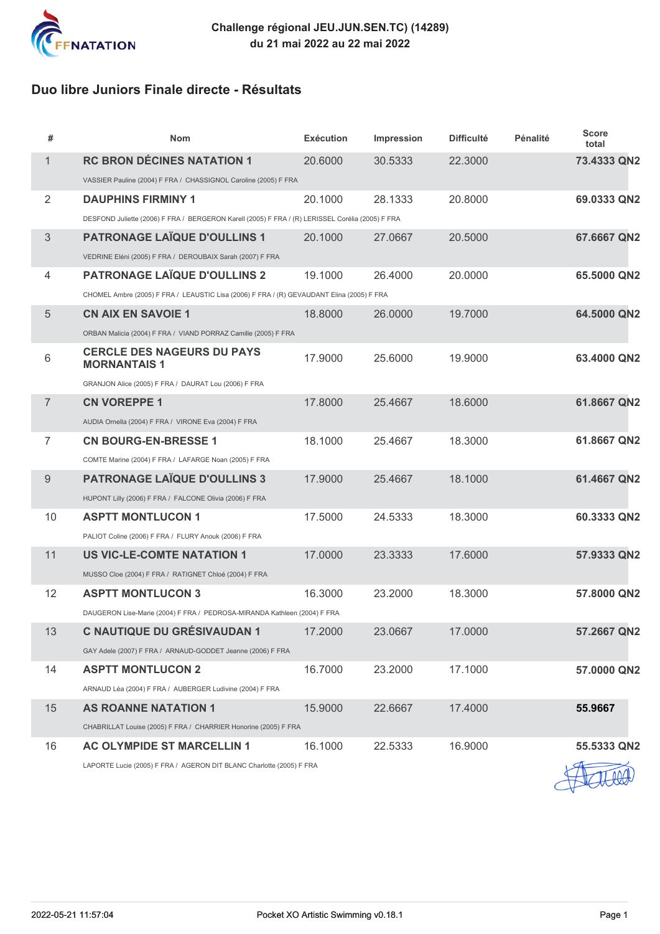

# **Duo libre Juniors Finale directe - Résultats**

| #              | <b>Nom</b>                                                                                       | <b>Exécution</b> | Impression | <b>Difficulté</b> | Pénalité | <b>Score</b><br>total |
|----------------|--------------------------------------------------------------------------------------------------|------------------|------------|-------------------|----------|-----------------------|
| $\mathbf{1}$   | <b>RC BRON DÉCINES NATATION 1</b>                                                                | 20,6000          | 30.5333    | 22.3000           |          | 73.4333 QN2           |
|                | VASSIER Pauline (2004) F FRA / CHASSIGNOL Caroline (2005) F FRA                                  |                  |            |                   |          |                       |
| $\overline{2}$ | <b>DAUPHINS FIRMINY 1</b>                                                                        | 20.1000          | 28.1333    | 20.8000           |          | 69.0333 QN2           |
|                | DESFOND Juliette (2006) F FRA / BERGERON Karell (2005) F FRA / (R) LERISSEL Corélia (2005) F FRA |                  |            |                   |          |                       |
| 3              | <b>PATRONAGE LAÏQUE D'OULLINS 1</b>                                                              | 20.1000          | 27.0667    | 20.5000           |          | 67.6667 QN2           |
|                | VEDRINE Eléni (2005) F FRA / DEROUBAIX Sarah (2007) F FRA                                        |                  |            |                   |          |                       |
| $\overline{4}$ | <b>PATRONAGE LAÏQUE D'OULLINS 2</b>                                                              | 19.1000          | 26.4000    | 20.0000           |          | 65.5000 QN2           |
|                | CHOMEL Ambre (2005) F FRA / LEAUSTIC Lisa (2006) F FRA / (R) GEVAUDANT Elina (2005) F FRA        |                  |            |                   |          |                       |
| $\sqrt{5}$     | <b>CN AIX EN SAVOIE 1</b>                                                                        | 18.8000          | 26.0000    | 19.7000           |          | 64.5000 QN2           |
|                | ORBAN Malicia (2004) F FRA / VIAND PORRAZ Camille (2005) F FRA                                   |                  |            |                   |          |                       |
| $6\,$          | <b>CERCLE DES NAGEURS DU PAYS</b><br><b>MORNANTAIS 1</b>                                         | 17,9000          | 25.6000    | 19,9000           |          | 63.4000 QN2           |
|                | GRANJON Alice (2005) F FRA / DAURAT Lou (2006) F FRA                                             |                  |            |                   |          |                       |
| $\overline{7}$ | <b>CN VOREPPE 1</b>                                                                              | 17,8000          | 25.4667    | 18.6000           |          | 61.8667 QN2           |
|                | AUDIA Ornella (2004) F FRA / VIRONE Eva (2004) F FRA                                             |                  |            |                   |          |                       |
| $\overline{7}$ | <b>CN BOURG-EN-BRESSE 1</b>                                                                      | 18.1000          | 25.4667    | 18,3000           |          | 61.8667 QN2           |
|                | COMTE Marine (2004) F FRA / LAFARGE Noan (2005) F FRA                                            |                  |            |                   |          |                       |
| 9              | <b>PATRONAGE LAÏQUE D'OULLINS 3</b>                                                              | 17.9000          | 25.4667    | 18.1000           |          | 61.4667 QN2           |
|                | HUPONT Lilly (2006) F FRA / FALCONE Olivia (2006) F FRA                                          |                  |            |                   |          |                       |
| 10             | <b>ASPTT MONTLUCON 1</b>                                                                         | 17.5000          | 24.5333    | 18,3000           |          | 60.3333 QN2           |
|                | PALIOT Coline (2006) F FRA / FLURY Anouk (2006) F FRA                                            |                  |            |                   |          |                       |
| 11             | <b>US VIC-LE-COMTE NATATION 1</b>                                                                | 17.0000          | 23.3333    | 17.6000           |          | 57.9333 QN2           |
|                | MUSSO Cloe (2004) F FRA / RATIGNET Chloé (2004) F FRA                                            |                  |            |                   |          |                       |
| 12             | <b>ASPTT MONTLUCON 3</b>                                                                         | 16.3000          | 23.2000    | 18.3000           |          | 57.8000 QN2           |
|                | DAUGERON Lise-Marie (2004) F FRA / PEDROSA-MIRANDA Kathleen (2004) F FRA                         |                  |            |                   |          |                       |
| 13             | <b>C NAUTIQUE DU GRÉSIVAUDAN 1</b>                                                               | 17.2000          | 23.0667    | 17.0000           |          | 57.2667 QN2           |
|                | GAY Adele (2007) F FRA / ARNAUD-GODDET Jeanne (2006) F FRA                                       |                  |            |                   |          |                       |
| 14             | <b>ASPTT MONTLUCON 2</b>                                                                         | 16.7000          | 23.2000    | 17.1000           |          | 57.0000 QN2           |
|                | ARNAUD Léa (2004) F FRA / AUBERGER Ludivine (2004) F FRA                                         |                  |            |                   |          |                       |
| 15             | <b>AS ROANNE NATATION 1</b>                                                                      | 15.9000          | 22.6667    | 17.4000           |          | 55.9667               |
|                | CHABRILLAT Louise (2005) F FRA / CHARRIER Honorine (2005) F FRA                                  |                  |            |                   |          |                       |
| 16             | <b>AC OLYMPIDE ST MARCELLIN 1</b>                                                                | 16.1000          | 22.5333    | 16.9000           |          | 55.5333 QN2           |
|                | LAPORTE Lucie (2005) F FRA / AGERON DIT BLANC Charlotte (2005) F FRA                             |                  |            |                   |          |                       |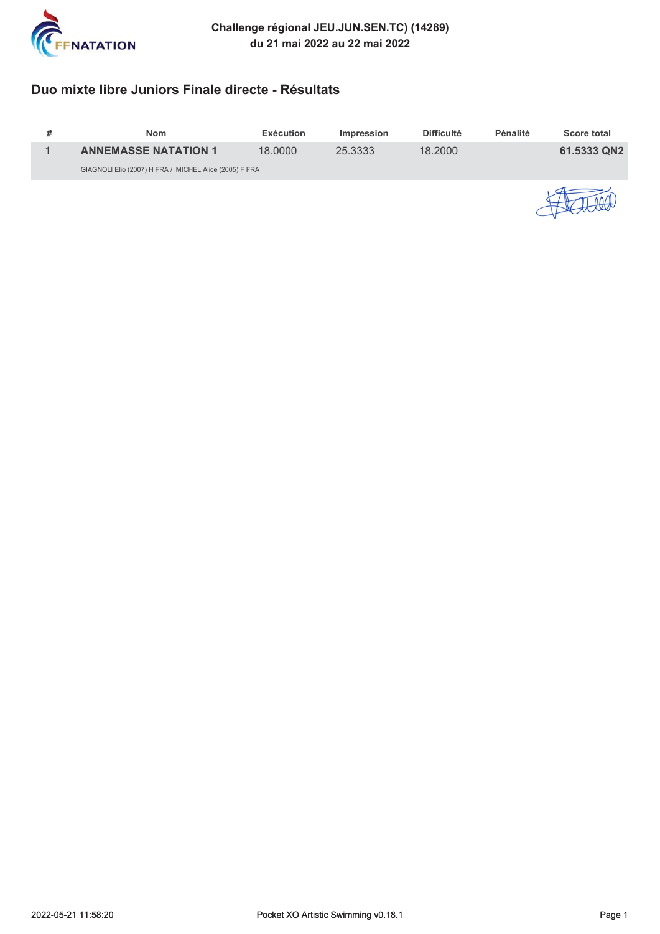

# **Duo mixte libre Juniors Finale directe - Résultats**

| <b>Nom</b>                                             | Exécution | <i>Impression</i> | <b>Difficulté</b> | Pénalité | <b>Score total</b> |
|--------------------------------------------------------|-----------|-------------------|-------------------|----------|--------------------|
| <b>ANNEMASSE NATATION 1</b>                            | 18.0000   | 25.3333           | 18.2000           |          | 61.5333 QN2        |
| GIAGNOLI Elio (2007) H FRA / MICHEL Alice (2005) F FRA |           |                   |                   |          |                    |
|                                                        |           |                   |                   |          |                    |

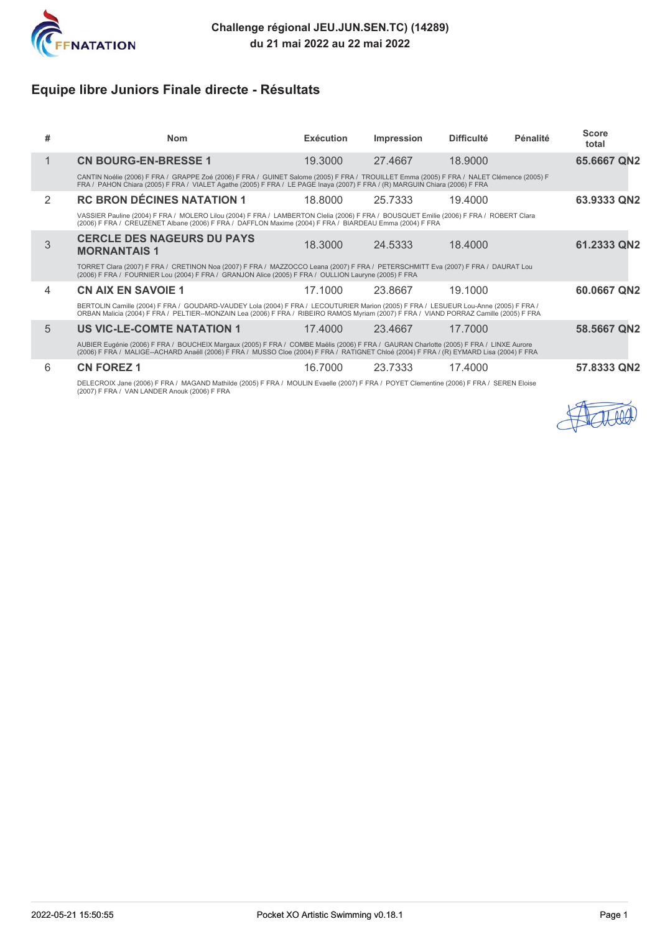

# **Equipe libre Juniors Finale directe - Résultats**

| # | <b>Nom</b>                                                                                                                                                                                                                                                                        | <b>Exécution</b> | Impression | <b>Difficulté</b> | Pénalité | <b>Score</b><br>total |  |  |
|---|-----------------------------------------------------------------------------------------------------------------------------------------------------------------------------------------------------------------------------------------------------------------------------------|------------------|------------|-------------------|----------|-----------------------|--|--|
|   | <b>CN BOURG-EN-BRESSE 1</b>                                                                                                                                                                                                                                                       | 19,3000          | 27.4667    | 18,9000           |          | 65.6667 QN2           |  |  |
|   | CANTIN Noélie (2006) F FRA / GRAPPE Zoé (2006) F FRA / GUINET Salome (2005) F FRA / TROUILLET Emma (2005) F FRA / NALET Clémence (2005) F<br>FRA / PAHON Chiara (2005) F FRA / VIALET Agathe (2005) F FRA / LE PAGE Inaya (2007) F FRA / (R) MARGUIN Chiara (2006) F FRA          |                  |            |                   |          |                       |  |  |
| 2 | <b>RC BRON DÉCINES NATATION 1</b>                                                                                                                                                                                                                                                 | 18,8000          | 25.7333    | 19.4000           |          | 63.9333 QN2           |  |  |
|   | VASSIER Pauline (2004) F FRA / MOLERO Lilou (2004) F FRA / LAMBERTON Clelia (2006) F FRA / BOUSQUET Emilie (2006) F FRA / ROBERT Clara<br>(2006) F FRA / CREUZENET Albane (2006) F FRA / DAFFLON Maxime (2004) F FRA / BIARDEAU Emma (2004) F FRA                                 |                  |            |                   |          |                       |  |  |
| 3 | <b>CERCLE DES NAGEURS DU PAYS</b><br><b>MORNANTAIS 1</b>                                                                                                                                                                                                                          | 18,3000          | 24.5333    | 18,4000           |          | 61.2333 QN2           |  |  |
|   | TORRET Clara (2007) F FRA / CRETINON Noa (2007) F FRA / MAZZOCCO Leana (2007) F FRA / PETERSCHMITT Eva (2007) F FRA / DAURAT Lou<br>(2006) F FRA / FOURNIER Lou (2004) F FRA / GRANJON Alice (2005) F FRA / OULLION Lauryne (2005) F FRA                                          |                  |            |                   |          |                       |  |  |
| 4 | <b>CN AIX EN SAVOIE 1</b>                                                                                                                                                                                                                                                         | 17.1000          | 23.8667    | 19.1000           |          | 60.0667 QN2           |  |  |
|   | BERTOLIN Camille (2004) F FRA / GOUDARD-VAUDEY Lola (2004) F FRA / LECOUTURIER Marion (2005) F FRA / LESUEUR Lou-Anne (2005) F FRA /<br>ORBAN Malicia (2004) F FRA / PELTIER--MONZAIN Lea (2006) F FRA / RIBEIRO RAMOS Myriam (2007) F FRA / VIAND PORRAZ Camille (2005) F FRA    |                  |            |                   |          |                       |  |  |
| 5 | <b>US VIC-LE-COMTE NATATION 1</b>                                                                                                                                                                                                                                                 | 17.4000          | 23.4667    | 17.7000           |          | 58.5667 QN2           |  |  |
|   | AUBIER Eugénie (2006) F FRA / BOUCHEIX Margaux (2005) F FRA / COMBE Maëlis (2006) F FRA / GAURAN Charlotte (2005) F FRA / LINXE Aurore<br>(2006) F FRA / MALIGE-ACHARD Anaëll (2006) F FRA / MUSSO Cloe (2004) F FRA / RATIGNET Chloé (2004) F FRA / (R) EYMARD Lisa (2004) F FRA |                  |            |                   |          |                       |  |  |
| 6 | <b>CN FOREZ 1</b>                                                                                                                                                                                                                                                                 | 16.7000          | 23.7333    | 17.4000           |          | 57.8333 QN2           |  |  |
|   | DELECROIX Jane (2006) F FRA / MAGAND Mathilde (2005) F FRA / MOULIN Evaelle (2007) F FRA / POYET Clementine (2006) F FRA / SEREN Eloise<br>(2007) F FRA / VAN LANDER Anouk (2006) F FRA                                                                                           |                  |            |                   |          |                       |  |  |

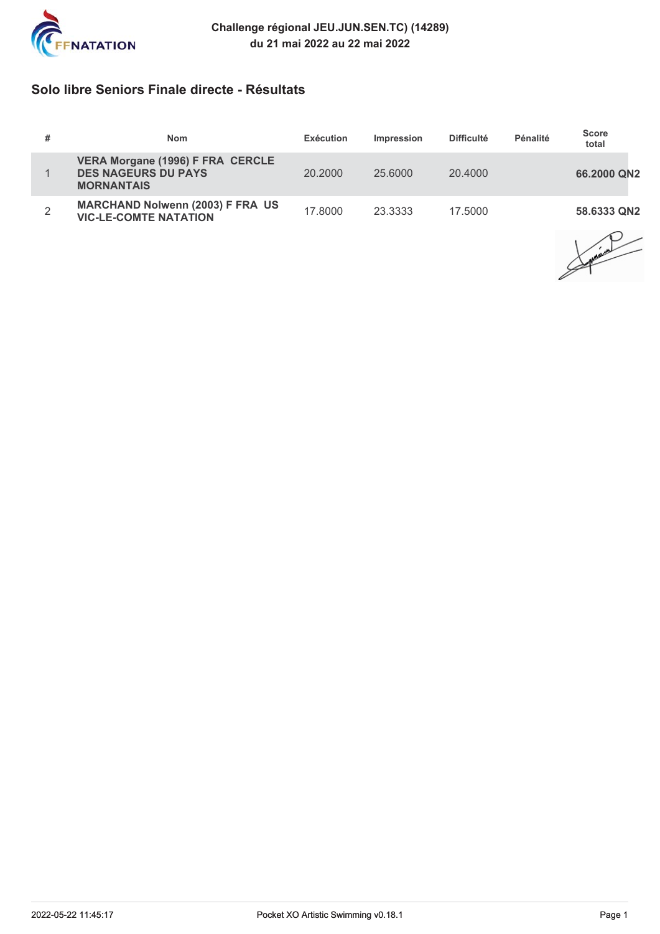

### **Solo libre Seniors Finale directe - Résultats**

| # | <b>Nom</b>                                                                                 | Exécution | <b>Impression</b> | <b>Difficulté</b> | Pénalité | <b>Score</b><br>total |
|---|--------------------------------------------------------------------------------------------|-----------|-------------------|-------------------|----------|-----------------------|
|   | <b>VERA Morgane (1996) F FRA CERCLE</b><br><b>DES NAGEURS DU PAYS</b><br><b>MORNANTAIS</b> | 20,2000   | 25.6000           | 20.4000           |          | 66,2000 QN2           |
| 2 | <b>MARCHAND Nolwenn (2003) F FRA US</b><br><b>VIC-LE-COMTE NATATION</b>                    | 17.8000   | 23.3333           | 17.5000           |          | 58.6333 QN2           |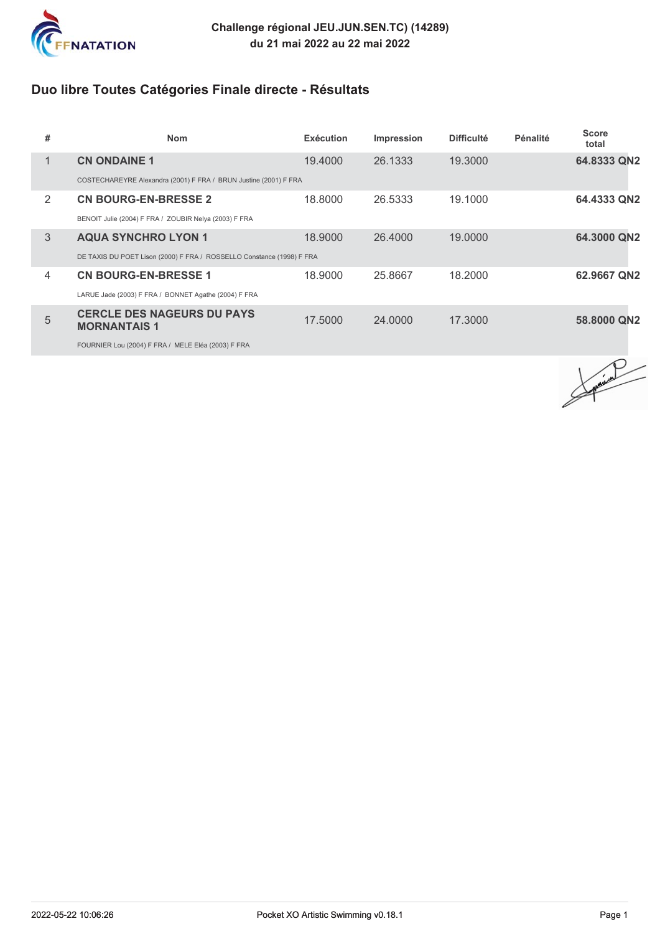

# **Duo libre Toutes Catégories Finale directe - Résultats**

| # | <b>Nom</b>                                                            | <b>Exécution</b> | Impression | <b>Difficulté</b> | Pénalité | <b>Score</b><br>total |
|---|-----------------------------------------------------------------------|------------------|------------|-------------------|----------|-----------------------|
| 1 | <b>CN ONDAINE 1</b>                                                   | 19,4000          | 26.1333    | 19.3000           |          | 64.8333 QN2           |
|   | COSTECHAREYRE Alexandra (2001) F FRA / BRUN Justine (2001) F FRA      |                  |            |                   |          |                       |
| 2 | <b>CN BOURG-EN-BRESSE 2</b>                                           | 18,8000          | 26.5333    | 19.1000           |          | 64.4333 QN2           |
|   | BENOIT Julie (2004) F FRA / ZOUBIR Nelya (2003) F FRA                 |                  |            |                   |          |                       |
| 3 | <b>AQUA SYNCHRO LYON 1</b>                                            | 18,9000          | 26,4000    | 19,0000           |          | 64.3000 QN2           |
|   | DE TAXIS DU POET Lison (2000) F FRA / ROSSELLO Constance (1998) F FRA |                  |            |                   |          |                       |
| 4 | <b>CN BOURG-EN-BRESSE 1</b>                                           | 18.9000          | 25.8667    | 18.2000           |          | 62.9667 QN2           |
|   | LARUE Jade (2003) F FRA / BONNET Agathe (2004) F FRA                  |                  |            |                   |          |                       |
| 5 | <b>CERCLE DES NAGEURS DU PAYS</b><br><b>MORNANTAIS 1</b>              | 17.5000          | 24,0000    | 17.3000           |          | 58,8000 QN2           |
|   | FOURNIER Lou (2004) F FRA / MELE Eléa (2003) F FRA                    |                  |            |                   |          |                       |

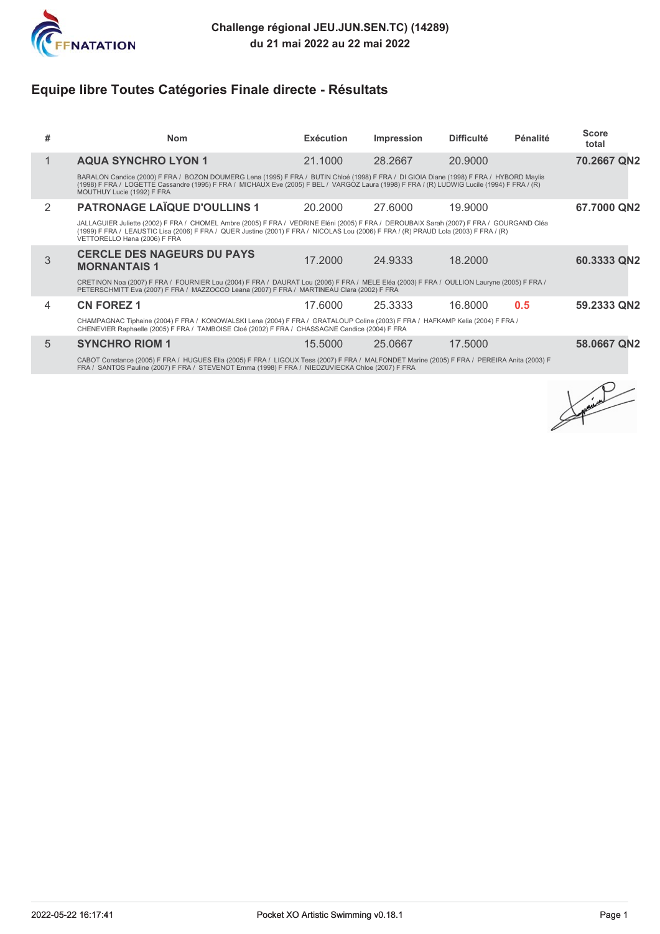

# **Equipe libre Toutes Catégories Finale directe - Résultats**

| #             | <b>Nom</b>                                                                                                                                                                                                                                                                                                           | Exécution | <b>Impression</b> | <b>Difficulté</b> | Pénalité | <b>Score</b><br>total |  |  |
|---------------|----------------------------------------------------------------------------------------------------------------------------------------------------------------------------------------------------------------------------------------------------------------------------------------------------------------------|-----------|-------------------|-------------------|----------|-----------------------|--|--|
| 1             | <b>AQUA SYNCHRO LYON 1</b>                                                                                                                                                                                                                                                                                           | 21.1000   | 28.2667           | 20,9000           |          | 70.2667 QN2           |  |  |
|               | BARALON Candice (2000) F FRA / BOZON DOUMERG Lena (1995) F FRA / BUTIN Chloé (1998) F FRA / DI GIOIA Diane (1998) F FRA / HYBORD Maylis<br>(1998) F FRA / LOGETTE Cassandre (1995) F FRA / MICHAUX Eve (2005) F BEL / VARGOZ Laura (1998) F FRA / (R) LUDWIG Lucile (1994) F FRA / (R)<br>MOUTHUY Lucie (1992) F FRA |           |                   |                   |          |                       |  |  |
| $\mathcal{P}$ | <b>PATRONAGE LAÏQUE D'OULLINS 1</b>                                                                                                                                                                                                                                                                                  | 20,2000   | 27,6000           | 19,9000           |          | 67.7000 QN2           |  |  |
|               | JALLAGUIER Juliette (2002) F FRA / CHOMEL Ambre (2005) F FRA / VEDRINE Eléni (2005) F FRA / DEROUBAIX Sarah (2007) F FRA / GOURGAND Cléa<br>(1999) F FRA / LEAUSTIC Lisa (2006) F FRA / QUER Justine (2001) F FRA / NICOLAS Lou (2006) F FRA / (R) PRAUD Lola (2003) F FRA / (R)<br>VETTORELLO Hana (2006) F FRA     |           |                   |                   |          |                       |  |  |
| 3             | <b>CERCLE DES NAGEURS DU PAYS</b><br><b>MORNANTAIS 1</b>                                                                                                                                                                                                                                                             | 17,2000   | 24.9333           | 18.2000           |          | 60.3333 QN2           |  |  |
|               | CRETINON Noa (2007) F FRA / FOURNIER Lou (2004) F FRA / DAURAT Lou (2006) F FRA / MELE Eléa (2003) F FRA / OULLION Lauryne (2005) F FRA /<br>PETERSCHMITT Eva (2007) F FRA / MAZZOCCO Leana (2007) F FRA / MARTINEAU Clara (2002) F FRA                                                                              |           |                   |                   |          |                       |  |  |
| 4             | <b>CN FOREZ 1</b>                                                                                                                                                                                                                                                                                                    | 17.6000   | 25.3333           | 16.8000           | 0.5      | 59.2333 QN2           |  |  |
|               | CHAMPAGNAC Tiphaine (2004) F FRA / KONOWALSKI Lena (2004) F FRA / GRATALOUP Coline (2003) F FRA / HAFKAMP Kelia (2004) F FRA /<br>CHENEVIER Raphaelle (2005) F FRA / TAMBOISE Cloé (2002) F FRA / CHASSAGNE Candice (2004) F FRA                                                                                     |           |                   |                   |          |                       |  |  |
| 5             | <b>SYNCHRO RIOM 1</b>                                                                                                                                                                                                                                                                                                | 15,5000   | 25,0667           | 17.5000           |          | 58,0667 QN2           |  |  |

CABOT Constance (2005) F FRA / HUGUES Ella (2005) F FRA / LIGOUX Tess (2007) F FRA / MALFONDET Marine (2005) F FRA / PEREIRA Anita (2003) F<br>FRA / SANTOS Pauline (2007) F FRA / STEVENOT Emma (1998) F FRA / NIEDZUVIEC

Contraction Property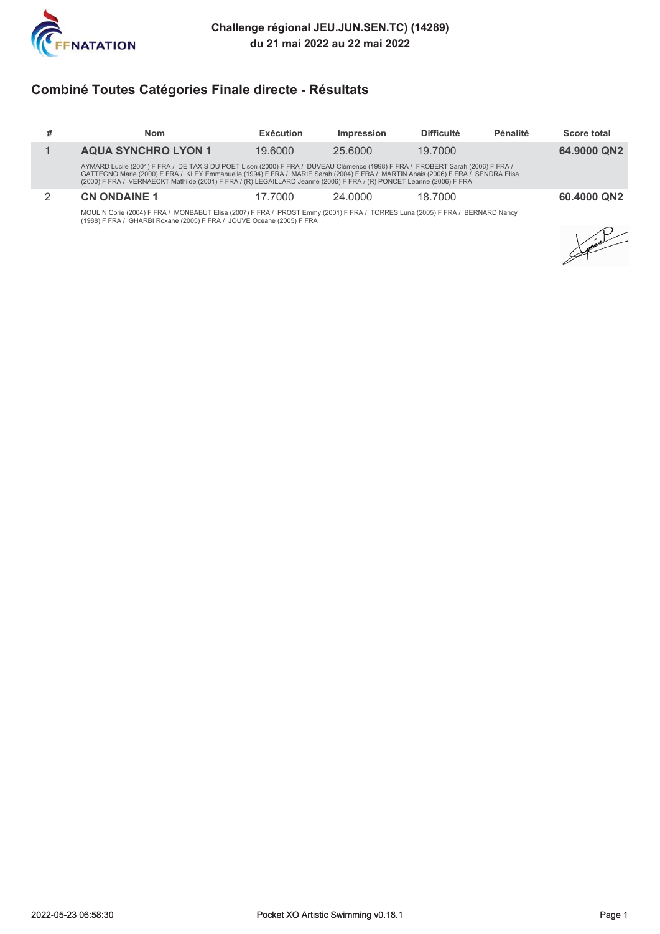

# **Combiné Toutes Catégories Finale directe - Résultats**

| # | <b>Nom</b>                                                                                                                                                                                                                                                                                                                                                                                 | Exécution | Impression | <b>Difficulté</b> | Pénalité | <b>Score total</b> |
|---|--------------------------------------------------------------------------------------------------------------------------------------------------------------------------------------------------------------------------------------------------------------------------------------------------------------------------------------------------------------------------------------------|-----------|------------|-------------------|----------|--------------------|
|   | <b>AQUA SYNCHRO LYON 1</b>                                                                                                                                                                                                                                                                                                                                                                 | 19.6000   | 25,6000    | 19.7000           |          | 64,9000 QN2        |
|   | AYMARD Lucile (2001) F FRA / DE TAXIS DU POET Lison (2000) F FRA / DUVEAU Clémence (1998) F FRA / FROBERT Sarah (2006) F FRA /<br>GATTEGNO Marie (2000) F FRA / KLEY Emmanuelle (1994) F FRA / MARIE Sarah (2004) F FRA / MARTIN Anais (2006) F FRA / SENDRA Elisa<br>(2000) F FRA / VERNAECKT Mathilde (2001) F FRA / (R) LEGAILLARD Jeanne (2006) F FRA / (R) PONCET Leanne (2006) F FRA |           |            |                   |          |                    |
|   | <b>CN ONDAINE 1</b>                                                                                                                                                                                                                                                                                                                                                                        | 17.7000   | 24,0000    | 18.7000           |          | 60,4000 QN2        |
|   | <b>MOULINIA:</b> (000 A) E EDA / MONDADUT EI: - (0007) E EDA / DDOOT E (0004) E EDA / TODDEO L (000E) E EDA / DEDNADD N                                                                                                                                                                                                                                                                    |           |            |                   |          |                    |

MOULIN Corie (2004) F FRA / MONBABUT Elisa (2007) F FRA / PROST Emmy (2001) F FRA / TORRES Luna (2005) F FRA / BERNARD Nancy<br>(1988) F FRA / GHARBI Roxane (2005) F FRA / JOUVE Oceane (2005) F FRA

Support of the contract of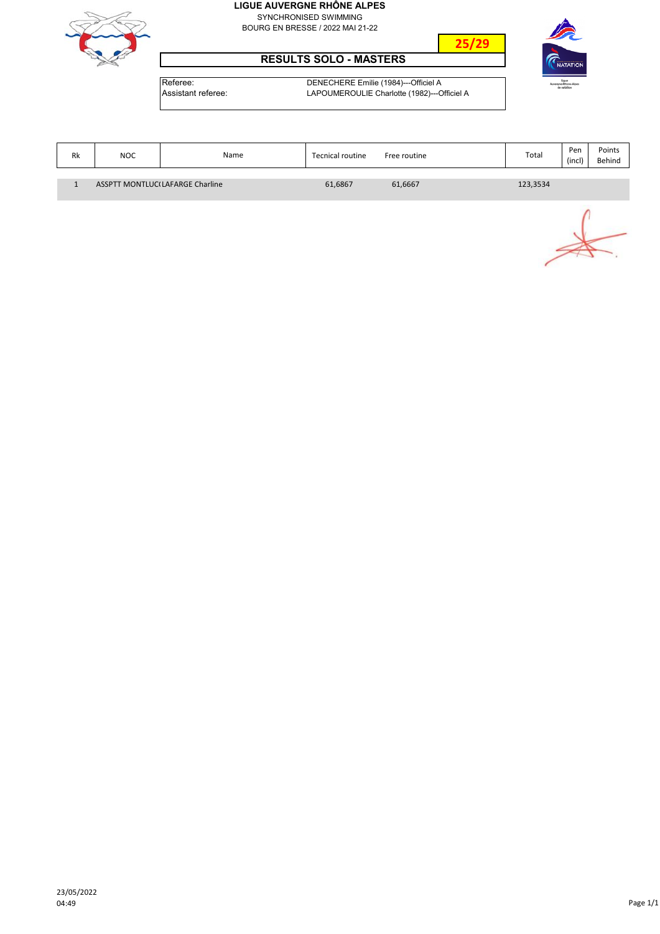SYNCHRONISED SWIMMING BOURG EN BRESSE / 2022 MAI 21-22



#### **RESULTS SOLO - MASTERS**



Referee: DENECHERE Emilie (1984)---Officiel A

| <b>\ssistant</b> referee: |  |
|---------------------------|--|
|                           |  |

LAPOUMEROULIE Charlotte (1982)---Officiel A

| Rk | NOC                                    | Name | <b>Tecnical routine</b> | Free routine | Total    | Per<br>(incl) | Points<br>Behind |
|----|----------------------------------------|------|-------------------------|--------------|----------|---------------|------------------|
|    | <b>ASSPTT MONTLUC(LAFARGE Charline</b> |      | 61,6867                 | 61,6667      | 123,3534 |               |                  |

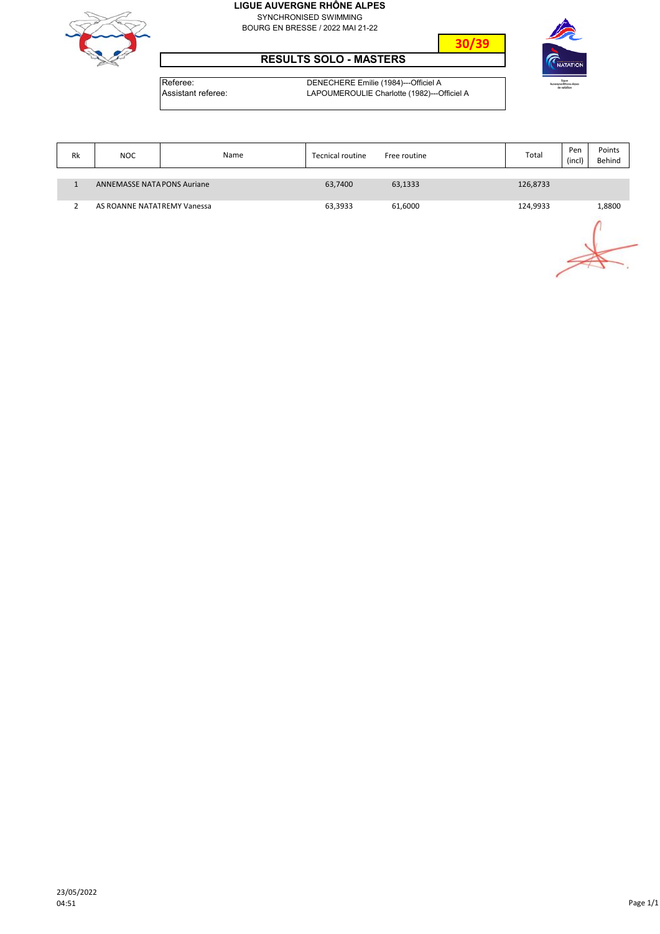SYNCHRONISED SWIMMING BOURG EN BRESSE / 2022 MAI 21-22



#### **RESULTS SOLO - MASTERS**

NATATION

**30/39**

Referee: DENECHERE Emilie (1984)---Officiel A<br>Assistant referee: LAPOUMEROULIE Charlotte (1982)---C LAPOUMEROULIE Charlotte (1982)---Officiel A

| Rk | <b>NOC</b>                         | Name | <b>Tecnical routine</b> | Free routine | Total    | Pen<br>(incl | Points<br>Behind |
|----|------------------------------------|------|-------------------------|--------------|----------|--------------|------------------|
|    | <b>ANNEMASSE NATA PONS Auriane</b> |      | 63,7400                 | 63,1333      | 126,8733 |              |                  |
|    | AS ROANNE NATATREMY Vanessa        |      | 63,3933                 | 61,6000      | 124,9933 |              | 1,8800           |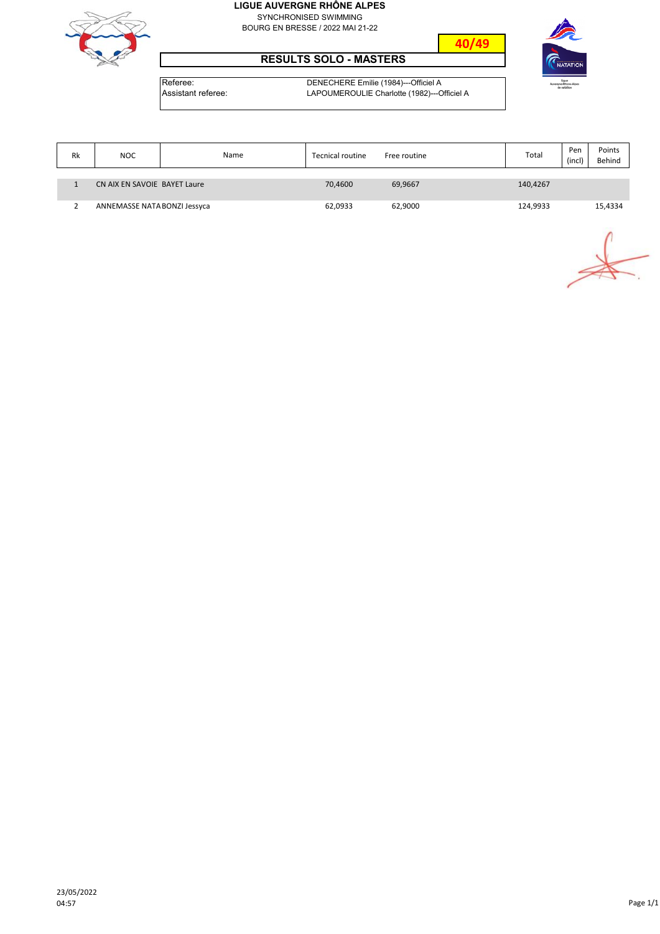SYNCHRONISED SWIMMING BOURG EN BRESSE / 2022 MAI 21-22



#### **RESULTS SOLO - MASTERS**



**40/49**

Referee: DENECHERE Emilie (1984)---Officiel A<br>Assistant referee: LAPOUMEROULIE Charlotte (1982)---C LAPOUMEROULIE Charlotte (1982)---Officiel A

| Rk | <b>NOC</b>                   | Name | Tecnical routine | Free routine | Total    | Pen<br>(incl) | Points<br>Behind |
|----|------------------------------|------|------------------|--------------|----------|---------------|------------------|
|    |                              |      |                  |              |          |               |                  |
|    | CN AIX EN SAVOIE BAYET Laure |      | 70,4600          | 69,9667      | 140,4267 |               |                  |
|    | ANNEMASSE NATA BONZI Jessyca |      | 62,0933          | 62,9000      | 124,9933 |               | 15,4334          |

 $\overrightarrow{a}$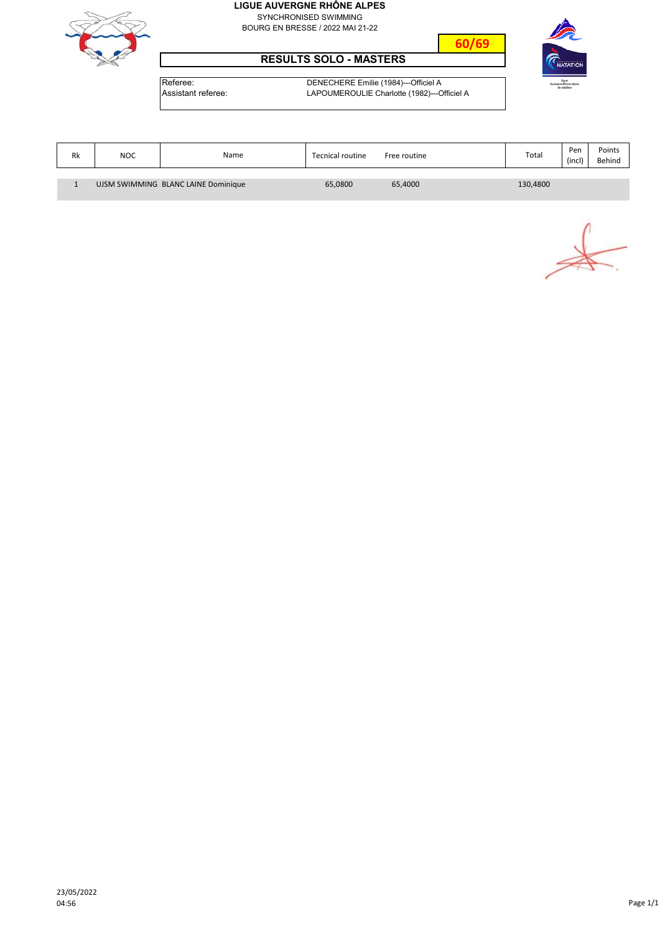SYNCHRONISED SWIMMING BOURG EN BRESSE / 2022 MAI 21-22



#### **RESULTS SOLO - MASTERS**



Referee: DENECHERE Emilie (1984)---Officiel A<br>Assistant referee: LAPOUMEROULIE Charlotte (1982)---C

LAPOUMEROULIE Charlotte (1982)---Officiel A

| Rk | <b>NOC</b>                          | Name | Tecnical routine | Free routine | Total    | Pen<br>(incl) | Points<br>Behind |
|----|-------------------------------------|------|------------------|--------------|----------|---------------|------------------|
|    |                                     |      |                  |              |          |               |                  |
|    | UJSM SWIMMING BLANC LAINE Dominique |      | 65,0800          | 65,4000      | 130,4800 |               |                  |

 $\frac{1}{2}$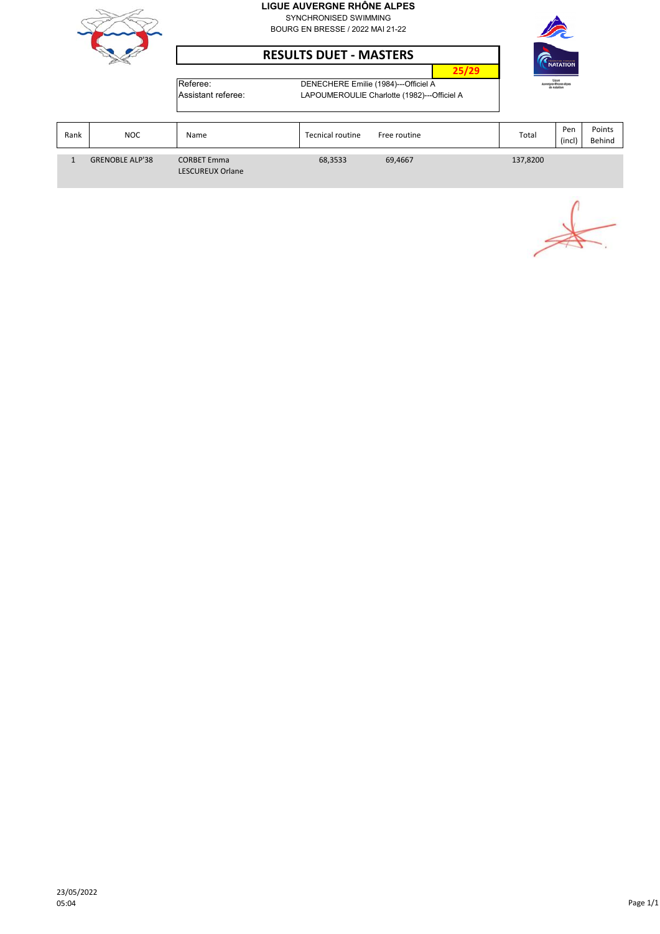

SYNCHRONISED SWIMMING BOURG EN BRESSE / 2022 MAI 21-22

**RESULTS DUET ‐ MASTERS**



**25/29** Referee: DENECHERE Emilie (1984)---Officiel A

Assistant referee: LAPOUMEROULIE Charlotte (1982)---Officiel A

| Rank | NOC.                   | Name                                          | <b>Tecnical routine</b> | Free routine | Total    | Pen<br>(incl) | Points<br>Behind |
|------|------------------------|-----------------------------------------------|-------------------------|--------------|----------|---------------|------------------|
|      | <b>GRENOBLE ALP'38</b> | <b>CORBET Emma</b><br><b>LESCUREUX Orlane</b> | 68,3533                 | 69,4667      | 137,8200 |               |                  |

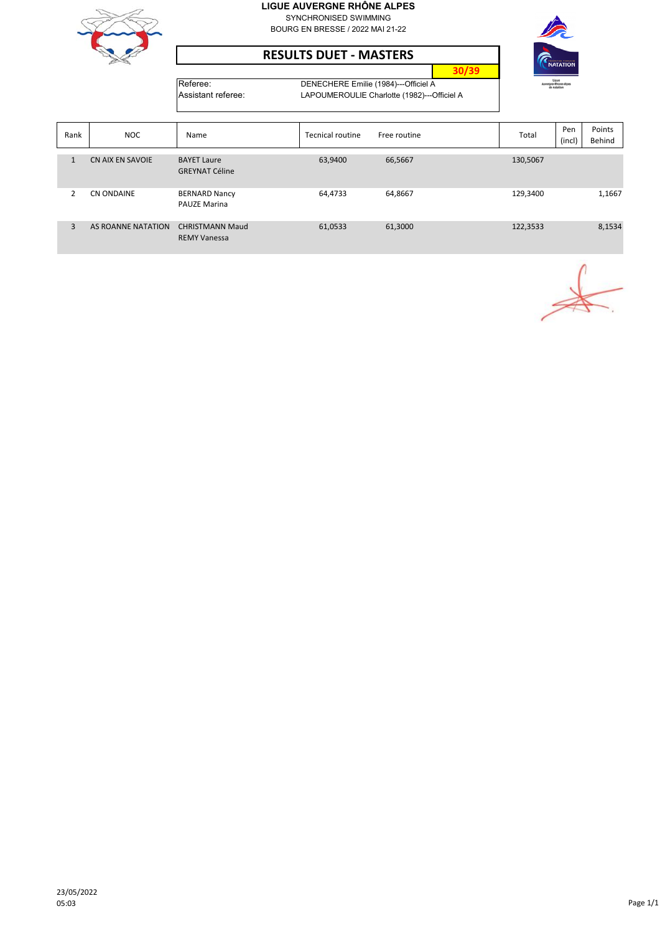

SYNCHRONISED SWIMMING BOURG EN BRESSE / 2022 MAI 21-22

#### **RESULTS DUET ‐ MASTERS**



**30/39**

Referee: DENECHERE Emilie (1984)---Officiel A<br>Assistant referee: LAPOUMEROULIE Charlotte (1982)---C LAPOUMEROULIE Charlotte (1982)---Officiel A

| Rank           | <b>NOC</b>         | Name                                          | <b>Tecnical routine</b> | Free routine | Total    | Pen<br>(incl) | Points<br>Behind |
|----------------|--------------------|-----------------------------------------------|-------------------------|--------------|----------|---------------|------------------|
|                | CN AIX EN SAVOIE   | <b>BAYET Laure</b><br><b>GREYNAT Céline</b>   | 63,9400                 | 66,5667      | 130,5067 |               |                  |
| $\overline{2}$ | CN ONDAINE         | <b>BERNARD Nancy</b><br><b>PAUZE Marina</b>   | 64,4733                 | 64,8667      | 129,3400 |               | 1,1667           |
| 3              | AS ROANNE NATATION | <b>CHRISTMANN Maud</b><br><b>REMY Vanessa</b> | 61,0533                 | 61,3000      | 122,3533 |               | 8,1534           |

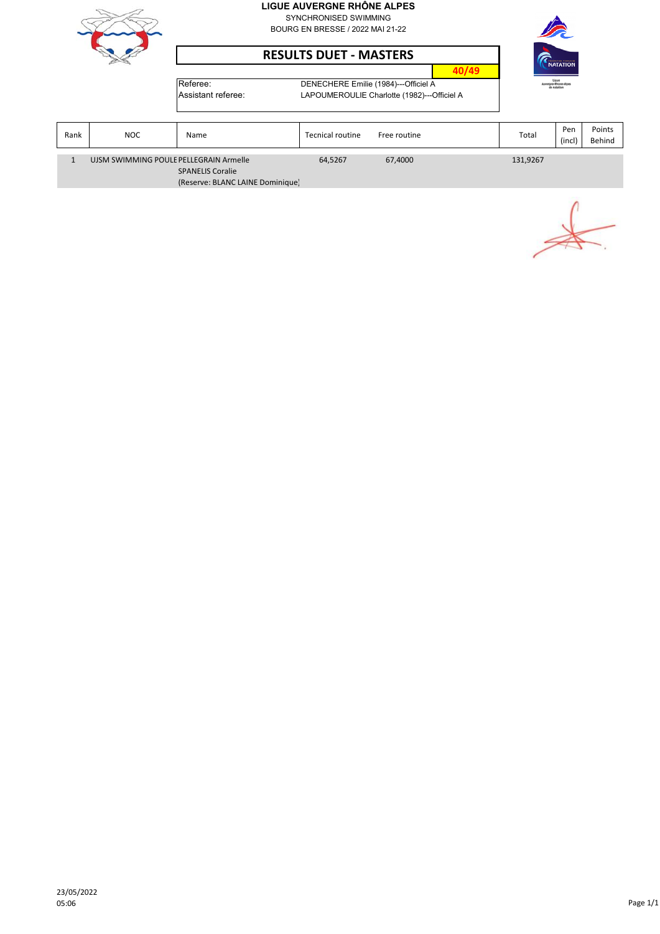

SYNCHRONISED SWIMMING BOURG EN BRESSE / 2022 MAI 21-22





Referee: DENECHERE Emilie (1984)---Officiel A



| stant referee: |  |
|----------------|--|
|                |  |

| Assistant referee: | LAPOUMEROULIE Charlotte (1982)---Officiel A |
|--------------------|---------------------------------------------|
|                    |                                             |

| Rank | NOC.                                                                                                  | Name | <b>Tecnical routine</b> | Free routine | Total    | Pen<br>(incl | Points<br>Behind |
|------|-------------------------------------------------------------------------------------------------------|------|-------------------------|--------------|----------|--------------|------------------|
|      | UJSM SWIMMING POULE PELLEGRAIN Armelle<br><b>SPANELIS Coralie</b><br>(Reserve: BLANC LAINE Dominique) |      | 64,5267                 | 67,4000      | 131,9267 |              |                  |

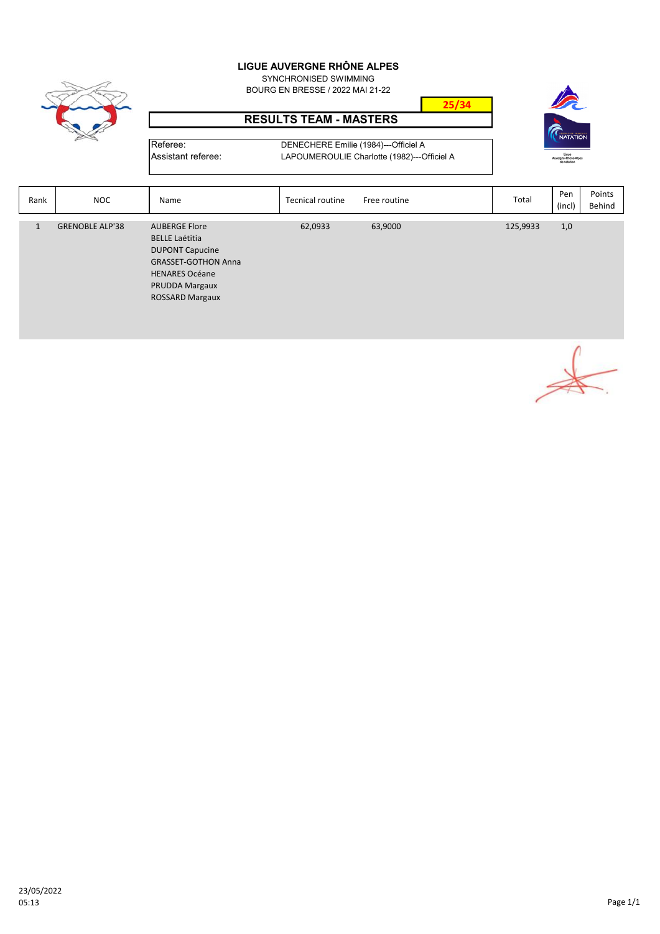SYNCHRONISED SWIMMING BOURG EN BRESSE / 2022 MAI 21-22



#### **RESULTS TEAM - MASTERS**

Referee: DENECHERE Emilie (1984)---Officiel A Assistant referee: LAPOUMEROULIE Charlotte (1982)---Officiel A



| Rank | <b>NOC</b>             | Name                                                                                                                                                                       | <b>Tecnical routine</b> | Free routine | Total    | Pen<br>(incl) | Points<br>Behind |
|------|------------------------|----------------------------------------------------------------------------------------------------------------------------------------------------------------------------|-------------------------|--------------|----------|---------------|------------------|
| 1    | <b>GRENOBLE ALP'38</b> | <b>AUBERGE Flore</b><br><b>BELLE Laétitia</b><br><b>DUPONT Capucine</b><br><b>GRASSET-GOTHON Anna</b><br><b>HENARES Océane</b><br>PRUDDA Margaux<br><b>ROSSARD Margaux</b> | 62,0933                 | 63,9000      | 125,9933 | 1,0           |                  |